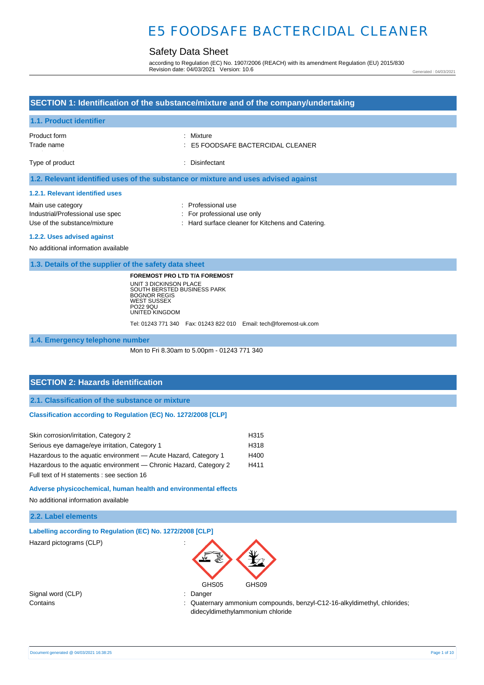# Safety Data Sheet

according to Regulation (EC) No. 1907/2006 (REACH) with its amendment Regulation (EU) 2015/830 Revision date: 04/03/2021 Version: 10.6

Generated : 04/03/2021

| SECTION 1: Identification of the substance/mixture and of the company/undertaking                                                                                                                                                                      |                                                                                                      |  |
|--------------------------------------------------------------------------------------------------------------------------------------------------------------------------------------------------------------------------------------------------------|------------------------------------------------------------------------------------------------------|--|
| 1.1. Product identifier                                                                                                                                                                                                                                |                                                                                                      |  |
| Product form<br>Trade name                                                                                                                                                                                                                             | Mixture<br>E5 FOODSAFE BACTERCIDAL CLEANER                                                           |  |
| Type of product                                                                                                                                                                                                                                        | Disinfectant                                                                                         |  |
| 1.2. Relevant identified uses of the substance or mixture and uses advised against                                                                                                                                                                     |                                                                                                      |  |
| 1.2.1. Relevant identified uses                                                                                                                                                                                                                        |                                                                                                      |  |
| Main use category<br>Industrial/Professional use spec<br>Use of the substance/mixture                                                                                                                                                                  | : Professional use<br>For professional use only<br>: Hard surface cleaner for Kitchens and Catering. |  |
| 1.2.2. Uses advised against                                                                                                                                                                                                                            |                                                                                                      |  |
| No additional information available                                                                                                                                                                                                                    |                                                                                                      |  |
| 1.3. Details of the supplier of the safety data sheet                                                                                                                                                                                                  |                                                                                                      |  |
| <b>FOREMOST PRO LTD T/A FOREMOST</b><br><b>UNIT 3 DICKINSON PLACE</b><br>SOUTH BERSTED BUSINESS PARK<br><b>BOGNOR REGIS</b><br><b>WEST SUSSEX</b><br>PO22 9QU<br>UNITED KINGDOM<br>Tel: 01243 771 340  Fax: 01243 822 010  Email: tech@foremost-uk.com |                                                                                                      |  |
| 1.4. Emergency telephone number                                                                                                                                                                                                                        |                                                                                                      |  |
| Mon to Fri 8.30am to 5.00pm - 01243 771 340                                                                                                                                                                                                            |                                                                                                      |  |
|                                                                                                                                                                                                                                                        |                                                                                                      |  |
| <b>SECTION 2: Hazards identification</b>                                                                                                                                                                                                               |                                                                                                      |  |
| 2.1. Classification of the substance or mixture                                                                                                                                                                                                        |                                                                                                      |  |
| Classification according to Regulation (EC) No. 1272/2008 [CLP]                                                                                                                                                                                        |                                                                                                      |  |
| Skin corrosion/irritation, Category 2<br>Serious eye damage/eye irritation, Category 1                                                                                                                                                                 | H315<br>H318                                                                                         |  |
| Hazardous to the aquatic environment - Acute Hazard, Category 1<br>Hazardous to the aquatic environment - Chronic Hazard, Category 2<br>Full text of H statements : see section 16                                                                     | H400<br>H411                                                                                         |  |
| Adverse physicochemical, human health and environmental effects<br>No additional information available                                                                                                                                                 |                                                                                                      |  |

#### **2.2. Label elements**

| 2.2. Label elements                                        |            |       |  |
|------------------------------------------------------------|------------|-------|--|
| Labelling according to Regulation (EC) No. 1272/2008 [CLP] |            |       |  |
| Hazard pictograms (CLP)                                    | 氦<br>GHS05 | GHS09 |  |
| Signal word (CLP)                                          | Danger     |       |  |

Contains : Quaternary ammonium compounds, benzyl-C12-16-alkyldimethyl, chlorides; didecyldimethylammonium chloride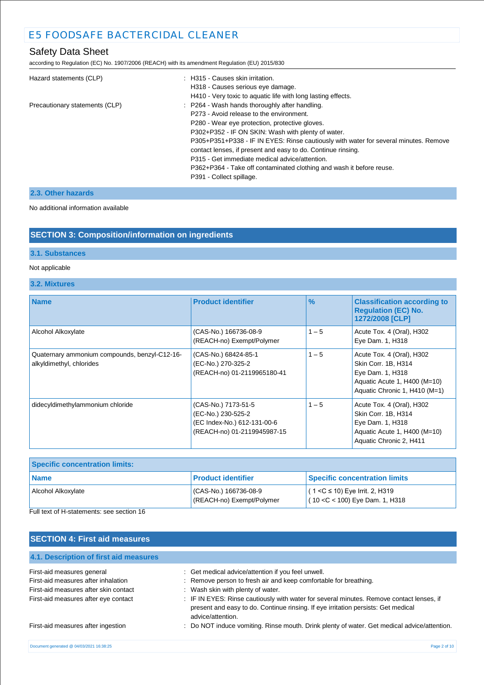# Safety Data Sheet

according to Regulation (EC) No. 1907/2006 (REACH) with its amendment Regulation (EU) 2015/830

| Hazard statements (CLP)        | : H315 - Causes skin irritation.                                                     |
|--------------------------------|--------------------------------------------------------------------------------------|
|                                | H318 - Causes serious eye damage.                                                    |
|                                | H410 - Very toxic to aquatic life with long lasting effects.                         |
| Precautionary statements (CLP) | : P264 - Wash hands thoroughly after handling.                                       |
|                                | P273 - Avoid release to the environment.                                             |
|                                | P280 - Wear eye protection, protective gloves.                                       |
|                                | P302+P352 - IF ON SKIN: Wash with plenty of water.                                   |
|                                | P305+P351+P338 - IF IN EYES: Rinse cautiously with water for several minutes. Remove |
|                                | contact lenses, if present and easy to do. Continue rinsing.                         |
|                                | P315 - Get immediate medical advice/attention.                                       |
|                                | P362+P364 - Take off contaminated clothing and wash it before reuse.                 |
|                                | P391 - Collect spillage.                                                             |
|                                |                                                                                      |

## **2.3. Other hazards**

#### No additional information available

### **SECTION 3: Composition/information on ingredients**

# **3.1. Substances**

### Not applicable

## **3.2. Mixtures**

| <b>Name</b>                                                               | <b>Product identifier</b>                                                                               | $\frac{9}{6}$ | <b>Classification according to</b><br><b>Regulation (EC) No.</b><br>1272/2008 [CLP]                                                   |
|---------------------------------------------------------------------------|---------------------------------------------------------------------------------------------------------|---------------|---------------------------------------------------------------------------------------------------------------------------------------|
| Alcohol Alkoxylate                                                        | (CAS-No.) 166736-08-9<br>(REACH-no) Exempt/Polymer                                                      | $1 - 5$       | Acute Tox. 4 (Oral), H302<br>Eye Dam. 1, H318                                                                                         |
| Quaternary ammonium compounds, benzyl-C12-16-<br>alkyldimethyl, chlorides | (CAS-No.) 68424-85-1<br>(EC-No.) 270-325-2<br>(REACH-no) 01-2119965180-41                               | $1 - 5$       | Acute Tox. 4 (Oral), H302<br>Skin Corr. 1B, H314<br>Eye Dam. 1, H318<br>Aquatic Acute 1, H400 (M=10)<br>Aquatic Chronic 1, H410 (M=1) |
| didecyldimethylammonium chloride                                          | (CAS-No.) 7173-51-5<br>(EC-No.) 230-525-2<br>(EC Index-No.) 612-131-00-6<br>(REACH-no) 01-2119945987-15 | $1 - 5$       | Acute Tox. 4 (Oral), H302<br>Skin Corr. 1B, H314<br>Eye Dam. 1, H318<br>Aquatic Acute 1, H400 (M=10)<br>Aquatic Chronic 2, H411       |

| <b>Specific concentration limits:</b> |                                                    |                                                                        |
|---------------------------------------|----------------------------------------------------|------------------------------------------------------------------------|
| <b>Name</b>                           | <b>Product identifier</b>                          | <b>Specific concentration limits</b>                                   |
| Alcohol Alkoxylate                    | (CAS-No.) 166736-08-9<br>(REACH-no) Exempt/Polymer | $(1 < C ≤ 10)$ Eye Irrit. 2, H319<br>$(10 < C < 100)$ Eye Dam. 1, H318 |

Full text of H-statements: see section 16

# **SECTION 4: First aid measures**

| 4.1. Description of first aid measures   |                                                                                                                                                                                                    |
|------------------------------------------|----------------------------------------------------------------------------------------------------------------------------------------------------------------------------------------------------|
| First-aid measures general               | : Get medical advice/attention if you feel unwell.                                                                                                                                                 |
| First-aid measures after inhalation      | : Remove person to fresh air and keep comfortable for breathing.                                                                                                                                   |
| First-aid measures after skin contact    | : Wash skin with plenty of water.                                                                                                                                                                  |
| First-aid measures after eye contact     | : IF IN EYES: Rinse cautiously with water for several minutes. Remove contact lenses, if<br>present and easy to do. Continue rinsing. If eye irritation persists: Get medical<br>advice/attention. |
| First-aid measures after ingestion       | : Do NOT induce vomiting. Rinse mouth. Drink plenty of water. Get medical advice/attention.                                                                                                        |
| Document generated @ 04/03/2021 16:38:25 | Page 2 of 10                                                                                                                                                                                       |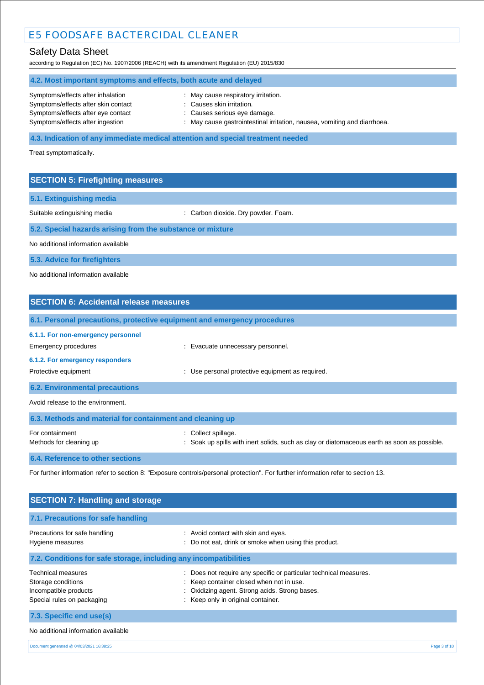## Safety Data Sheet

according to Regulation (EC) No. 1907/2006 (REACH) with its amendment Regulation (EU) 2015/830

## **4.2. Most important symptoms and effects, both acute and delayed** Symptoms/effects after inhalation : May cause respiratory irritation. Symptoms/effects after skin contact : Causes skin irritation. Symptoms/effects after eye contact : Causes serious eye damage.

- 
- Symptoms/effects after ingestion : May cause gastrointestinal irritation, nausea, vomiting and diarrhoea.

### **4.3. Indication of any immediate medical attention and special treatment needed**

Treat symptomatically.

### **SECTION 5: Firefighting measures**

**5.1. Extinguishing media**

Suitable extinguishing media : Carbon dioxide. Dry powder. Foam.

**5.2. Special hazards arising from the substance or mixture**

No additional information available

**5.3. Advice for firefighters**

No additional information available

# **SECTION 6: Accidental release measures 6.1. Personal precautions, protective equipment and emergency procedures 6.1.1. For non-emergency personnel**  Emergency procedures **in the example of the example of the Evacuate unnecessary personnel. 6.1.2. For emergency responders**  Protective equipment **interval and the COV** versional protective equipment as required. **6.2. Environmental precautions** Avoid release to the environment. **6.3. Methods and material for containment and cleaning up** For containment  $\qquad \qquad$ : Collect spillage.

Methods for cleaning up **interpret in the spills** with inert solids, such as clay or diatomaceous earth as soon as possible.

#### **6.4. Reference to other sections**

For further information refer to section 8: "Exposure controls/personal protection". For further information refer to section 13.

| <b>SECTION 7: Handling and storage</b>                                                          |                                                                                                                                                                                                   |  |
|-------------------------------------------------------------------------------------------------|---------------------------------------------------------------------------------------------------------------------------------------------------------------------------------------------------|--|
| 7.1. Precautions for safe handling                                                              |                                                                                                                                                                                                   |  |
| Precautions for safe handling<br>Hygiene measures                                               | : Avoid contact with skin and eyes.<br>: Do not eat, drink or smoke when using this product.                                                                                                      |  |
| 7.2. Conditions for safe storage, including any incompatibilities                               |                                                                                                                                                                                                   |  |
| Technical measures<br>Storage conditions<br>Incompatible products<br>Special rules on packaging | Does not require any specific or particular technical measures.<br>: Keep container closed when not in use.<br>Oxidizing agent. Strong acids. Strong bases.<br>: Keep only in original container. |  |
| 7.3. Specific end use(s)                                                                        |                                                                                                                                                                                                   |  |
| No additional information available                                                             |                                                                                                                                                                                                   |  |

Document generated @ 04/03/2021 16:38:25 Page 3 of 10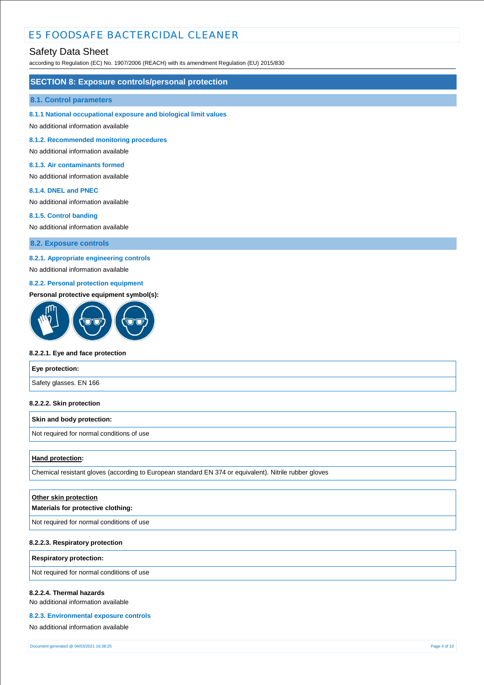### Safety Data Sheet

according to Regulation (EC) No. 1907/2006 (REACH) with its amendment Regulation (EU) 2015/830

#### **SECTION 8: Exposure controls/personal protection**

#### **8.1. Control parameters**

#### **8.1.1 National occupational exposure and biological limit values**

No additional information available

**8.1.2. Recommended monitoring procedures** 

No additional information available

### **8.1.3. Air contaminants formed**

No additional information available

#### **8.1.4. DNEL and PNEC**

No additional information available

#### **8.1.5. Control banding**

No additional information available

**8.2. Exposure controls**

#### **8.2.1. Appropriate engineering controls**

No additional information available

### **8.2.2. Personal protection equipment**

#### **Personal protective equipment symbol(s):**



#### **8.2.2.1. Eye and face protection**

| Eye protection:        |  |
|------------------------|--|
| Safety glasses. EN 166 |  |

#### **8.2.2.2. Skin protection**

#### **Skin and body protection:**

Not required for normal conditions of use

#### **Hand protection:**

Chemical resistant gloves (according to European standard EN 374 or equivalent). Nitrile rubber gloves

| Other skin protection<br>Materials for protective clothing: |
|-------------------------------------------------------------|
| Not required for normal conditions of use                   |
|                                                             |

#### **8.2.2.3. Respiratory protection**

**Respiratory protection:**

Not required for normal conditions of use

#### **8.2.2.4. Thermal hazards**

No additional information available

#### **8.2.3. Environmental exposure controls**

No additional information available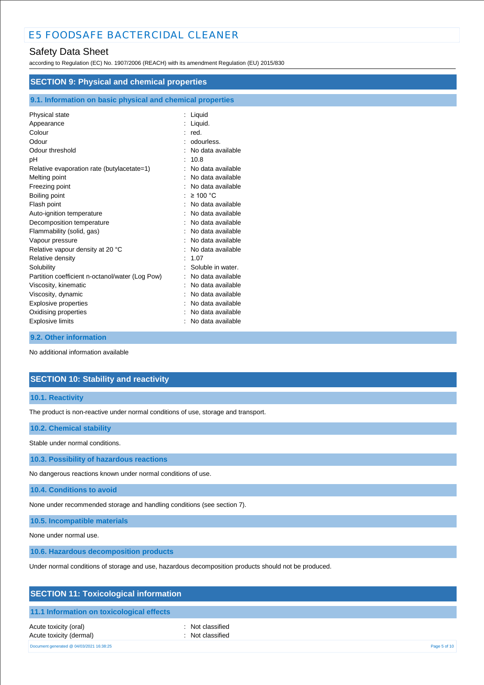## Safety Data Sheet

according to Regulation (EC) No. 1907/2006 (REACH) with its amendment Regulation (EU) 2015/830

| <b>SECTION 9: Physical and chemical properties</b>                                                                                                                                                                                                                                                                                 |                                                                                                                                                                                                                                               |  |
|------------------------------------------------------------------------------------------------------------------------------------------------------------------------------------------------------------------------------------------------------------------------------------------------------------------------------------|-----------------------------------------------------------------------------------------------------------------------------------------------------------------------------------------------------------------------------------------------|--|
| 9.1. Information on basic physical and chemical properties                                                                                                                                                                                                                                                                         |                                                                                                                                                                                                                                               |  |
| Physical state<br>Appearance<br>Colour<br>Odour<br>Odour threshold<br>рH<br>Relative evaporation rate (butylacetate=1)<br>Melting point<br>Freezing point<br>Boiling point<br>Flash point<br>Auto-ignition temperature                                                                                                             | : Liquid<br>: Liquid.<br>: red.<br>odourless.<br>No data available<br>10.8<br>No data available<br>No data available<br>No data available<br>: $\geq 100$ °C<br>No data available<br>No data available                                        |  |
| Decomposition temperature<br>Flammability (solid, gas)<br>Vapour pressure<br>Relative vapour density at 20 °C<br>Relative density<br>Solubility<br>Partition coefficient n-octanol/water (Log Pow)<br>Viscosity, kinematic<br>Viscosity, dynamic<br><b>Explosive properties</b><br>Oxidising properties<br><b>Explosive limits</b> | No data available<br>No data available<br>No data available<br>No data available<br>: 1.07<br>Soluble in water.<br>No data available<br>No data available<br>No data available<br>No data available<br>No data available<br>No data available |  |

#### **9.2. Other information**

No additional information available

## **SECTION 10: Stability and reactivity**

### **10.1. Reactivity**

The product is non-reactive under normal conditions of use, storage and transport.

### **10.2. Chemical stability**

Stable under normal conditions.

**10.3. Possibility of hazardous reactions**

No dangerous reactions known under normal conditions of use.

**10.4. Conditions to avoid**

None under recommended storage and handling conditions (see section 7).

**10.5. Incompatible materials**

None under normal use.

**10.6. Hazardous decomposition products**

Under normal conditions of storage and use, hazardous decomposition products should not be produced.

# **SECTION 11: Toxicological information**

### **11.1 Information on toxicological effects**

Acute toxicity (oral) **interval** to the control of the control of the control of the control of the control of the control of the control of the control of the control of the control of the control of the control of the co Acute toxicity (dermal) **and in the case of the contract of the contract of the contract of the contract of the contract of the contract of the contract of the contract of the contract of the contract of the contract of th** Document generated @ 04/03/2021 16:38:25 Page 5 of 10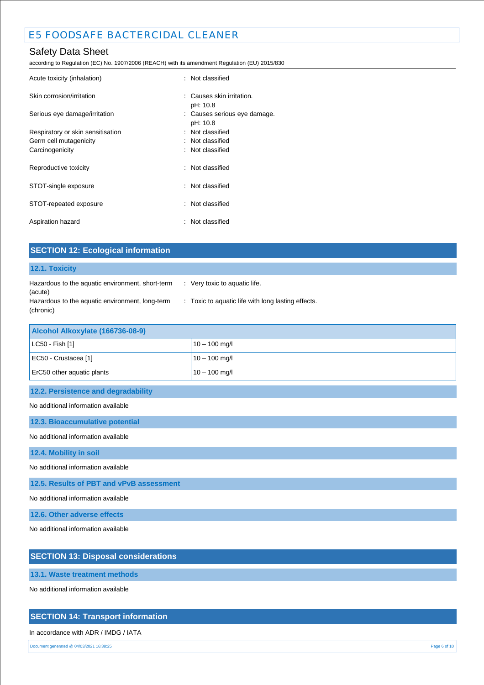# Safety Data Sheet

according to Regulation (EC) No. 1907/2006 (REACH) with its amendment Regulation (EU) 2015/830

| Acute toxicity (inhalation)       | : Not classified                         |
|-----------------------------------|------------------------------------------|
| Skin corrosion/irritation         | : Causes skin irritation.<br>pH: 10.8    |
| Serious eye damage/irritation     | : Causes serious eye damage.<br>pH: 10.8 |
| Respiratory or skin sensitisation | : Not classified                         |
| Germ cell mutagenicity            | : Not classified                         |
| Carcinogenicity                   | : Not classified                         |
| Reproductive toxicity             | : Not classified                         |
| STOT-single exposure              | : Not classified                         |
| STOT-repeated exposure            | : Not classified                         |
| Aspiration hazard                 | : Not classified                         |

| <b>SECTION 12: Ecological information</b>                                                                                   |                                                                                     |
|-----------------------------------------------------------------------------------------------------------------------------|-------------------------------------------------------------------------------------|
| 12.1. Toxicity                                                                                                              |                                                                                     |
| Hazardous to the aquatic environment, short-term<br>(acute)<br>Hazardous to the aquatic environment, long-term<br>(chronic) | : Very toxic to aquatic life.<br>: Toxic to aquatic life with long lasting effects. |
| Alcohol Alkoxylate (166736-08-9)                                                                                            |                                                                                     |

| $ $ LC50 - Fish [1]        | $10 - 100$ mg/l |
|----------------------------|-----------------|
| EC50 - Crustacea [1]       | $10 - 100$ mg/l |
| ErC50 other aquatic plants | $10 - 100$ mg/l |
|                            |                 |

**12.2. Persistence and degradability**

No additional information available

**12.3. Bioaccumulative potential**

No additional information available

**12.4. Mobility in soil**

No additional information available

**12.5. Results of PBT and vPvB assessment**

No additional information available

**12.6. Other adverse effects**

No additional information available

## **SECTION 13: Disposal considerations**

**13.1. Waste treatment methods**

No additional information available

### **SECTION 14: Transport information**

### In accordance with ADR / IMDG / IATA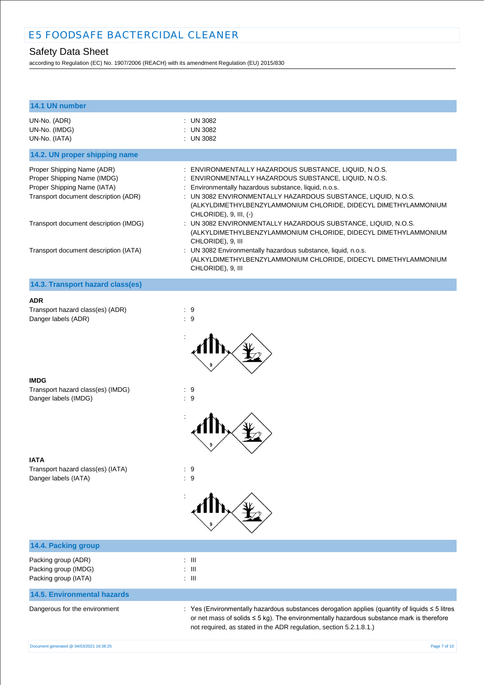# Safety Data Sheet

according to Regulation (EC) No. 1907/2006 (REACH) with its amendment Regulation (EU) 2015/830

| 14.1 UN number                                                                                                                   |                                                                                                                                                                                                                                                                                                                                       |
|----------------------------------------------------------------------------------------------------------------------------------|---------------------------------------------------------------------------------------------------------------------------------------------------------------------------------------------------------------------------------------------------------------------------------------------------------------------------------------|
| UN-No. (ADR)<br>UN-No. (IMDG)<br>UN-No. (IATA)                                                                                   | $:$ UN 3082<br>$:$ UN 3082<br>: UN 3082                                                                                                                                                                                                                                                                                               |
| 14.2. UN proper shipping name                                                                                                    |                                                                                                                                                                                                                                                                                                                                       |
| Proper Shipping Name (ADR)<br>Proper Shipping Name (IMDG)<br>Proper Shipping Name (IATA)<br>Transport document description (ADR) | : ENVIRONMENTALLY HAZARDOUS SUBSTANCE, LIQUID, N.O.S.<br>: ENVIRONMENTALLY HAZARDOUS SUBSTANCE, LIQUID, N.O.S.<br>: Environmentally hazardous substance, liquid, n.o.s.<br>: UN 3082 ENVIRONMENTALLY HAZARDOUS SUBSTANCE, LIQUID, N.O.S.<br>(ALKYLDIMETHYLBENZYLAMMONIUM CHLORIDE, DIDECYL DIMETHYLAMMONIUM<br>CHLORIDE), 9, III, (-) |
| Transport document description (IMDG)<br>Transport document description (IATA)                                                   | : UN 3082 ENVIRONMENTALLY HAZARDOUS SUBSTANCE, LIQUID, N.O.S.<br>(ALKYLDIMETHYLBENZYLAMMONIUM CHLORIDE, DIDECYL DIMETHYLAMMONIUM<br>CHLORIDE), 9, III<br>: UN 3082 Environmentally hazardous substance, liquid, n.o.s.<br>(ALKYLDIMETHYLBENZYLAMMONIUM CHLORIDE, DIDECYL DIMETHYLAMMONIUM                                             |
|                                                                                                                                  | CHLORIDE), 9, III                                                                                                                                                                                                                                                                                                                     |
| 14.3. Transport hazard class(es)                                                                                                 |                                                                                                                                                                                                                                                                                                                                       |
| ADR<br>Transport hazard class(es) (ADR)<br>Danger labels (ADR)                                                                   | $\therefore$ 9<br>:9                                                                                                                                                                                                                                                                                                                  |
| <b>IMDG</b><br>Transport hazard class(es) (IMDG)                                                                                 | : 9                                                                                                                                                                                                                                                                                                                                   |
| Danger labels (IMDG)                                                                                                             | : 9                                                                                                                                                                                                                                                                                                                                   |
| IATA                                                                                                                             |                                                                                                                                                                                                                                                                                                                                       |
| Transport hazard class(es) (IATA)<br>Danger labels (IATA)                                                                        | : 9<br>$\colon 9$                                                                                                                                                                                                                                                                                                                     |
|                                                                                                                                  |                                                                                                                                                                                                                                                                                                                                       |
| 14.4. Packing group                                                                                                              |                                                                                                                                                                                                                                                                                                                                       |
| Packing group (ADR)<br>Packing group (IMDG)<br>Packing group (IATA)                                                              | $: \mathbb{H}$<br>$:$ $\mathbb H$<br>: $\,$ III                                                                                                                                                                                                                                                                                       |

### **14.5. Environmental hazards**

Dangerous for the environment : Yes (Environmentally hazardous substances derogation applies (quantity of liquids ≤ 5 litres or net mass of solids ≤ 5 kg). The environmentally hazardous substance mark is therefore not required, as stated in the ADR regulation, section 5.2.1.8.1.)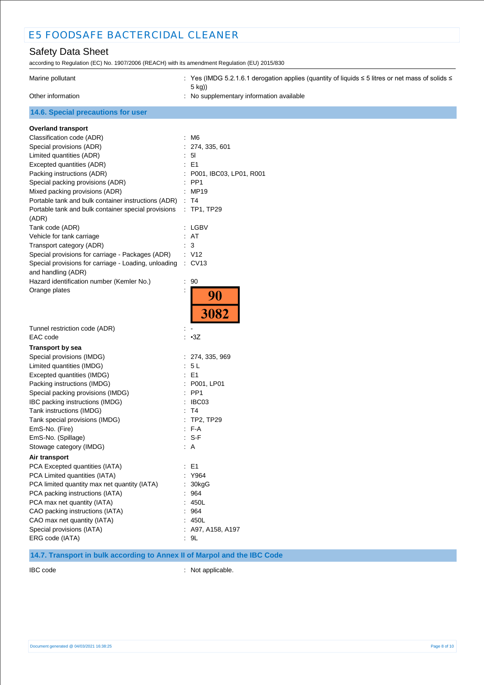# Safety Data Sheet

according to Regulation (EC) No. 1907/2006 (REACH) with its amendment Regulation (EU) 2015/830

| : Yes (IMDG 5.2.1.6.1 derogation applies (quantity of liquids $\leq$ 5 litres or net mass of solids $\leq$<br>5 kg))<br>No supplementary information available<br>14.6. Special precautions for user<br>Classification code (ADR)<br>M6<br>274, 335, 601<br>5 <sub>l</sub><br>E <sub>1</sub><br>P001, IBC03, LP01, R001<br>PP <sub>1</sub><br>MP19<br>T4<br>$\ddot{\phantom{a}}$<br>Portable tank and bulk container special provisions<br>: TP1, TP29<br>(ADR)<br>Tank code (ADR)<br>: LGBV<br>AT<br>Vehicle for tank carriage<br>3<br>Transport category (ADR)<br>Special provisions for carriage - Packages (ADR)<br>: V12<br>Special provisions for carriage - Loading, unloading<br>: CV13<br>and handling (ADR)<br>Hazard identification number (Kemler No.)<br>90<br>Orange plates<br>90<br><b>3082</b><br>Tunnel restriction code (ADR)<br>$-3Z$<br><b>Transport by sea</b><br>Special provisions (IMDG)<br>274, 335, 969<br>Limited quantities (IMDG)<br>5 <sub>L</sub><br>Excepted quantities (IMDG)<br>E <sub>1</sub><br>Packing instructions (IMDG)<br>P001, LP01<br>Special packing provisions (IMDG)<br>PP <sub>1</sub><br>IBC packing instructions (IMDG)<br>IBC03<br>Tank instructions (IMDG)<br>T4<br>Tank special provisions (IMDG)<br><b>TP2, TP29</b><br>EmS-No. (Fire)<br>F-A<br>EmS-No. (Spillage)<br>$: S-F$<br>Stowage category (IMDG)<br>: A<br>Air transport<br>PCA Excepted quantities (IATA)<br>$\therefore$ E1<br>PCA Limited quantities (IATA)<br>Y964<br>PCA limited quantity max net quantity (IATA)<br>30kgG<br>964<br>PCA max net quantity (IATA)<br>450L<br>964<br>: 450L<br>$:$ A97, A158, A197<br>ERG code (IATA)<br>: 9L |                                                     |  |
|----------------------------------------------------------------------------------------------------------------------------------------------------------------------------------------------------------------------------------------------------------------------------------------------------------------------------------------------------------------------------------------------------------------------------------------------------------------------------------------------------------------------------------------------------------------------------------------------------------------------------------------------------------------------------------------------------------------------------------------------------------------------------------------------------------------------------------------------------------------------------------------------------------------------------------------------------------------------------------------------------------------------------------------------------------------------------------------------------------------------------------------------------------------------------------------------------------------------------------------------------------------------------------------------------------------------------------------------------------------------------------------------------------------------------------------------------------------------------------------------------------------------------------------------------------------------------------------------------------------------------------------------------------------|-----------------------------------------------------|--|
|                                                                                                                                                                                                                                                                                                                                                                                                                                                                                                                                                                                                                                                                                                                                                                                                                                                                                                                                                                                                                                                                                                                                                                                                                                                                                                                                                                                                                                                                                                                                                                                                                                                                | Marine pollutant                                    |  |
|                                                                                                                                                                                                                                                                                                                                                                                                                                                                                                                                                                                                                                                                                                                                                                                                                                                                                                                                                                                                                                                                                                                                                                                                                                                                                                                                                                                                                                                                                                                                                                                                                                                                | Other information                                   |  |
|                                                                                                                                                                                                                                                                                                                                                                                                                                                                                                                                                                                                                                                                                                                                                                                                                                                                                                                                                                                                                                                                                                                                                                                                                                                                                                                                                                                                                                                                                                                                                                                                                                                                |                                                     |  |
|                                                                                                                                                                                                                                                                                                                                                                                                                                                                                                                                                                                                                                                                                                                                                                                                                                                                                                                                                                                                                                                                                                                                                                                                                                                                                                                                                                                                                                                                                                                                                                                                                                                                | <b>Overland transport</b>                           |  |
|                                                                                                                                                                                                                                                                                                                                                                                                                                                                                                                                                                                                                                                                                                                                                                                                                                                                                                                                                                                                                                                                                                                                                                                                                                                                                                                                                                                                                                                                                                                                                                                                                                                                |                                                     |  |
|                                                                                                                                                                                                                                                                                                                                                                                                                                                                                                                                                                                                                                                                                                                                                                                                                                                                                                                                                                                                                                                                                                                                                                                                                                                                                                                                                                                                                                                                                                                                                                                                                                                                | Special provisions (ADR)                            |  |
|                                                                                                                                                                                                                                                                                                                                                                                                                                                                                                                                                                                                                                                                                                                                                                                                                                                                                                                                                                                                                                                                                                                                                                                                                                                                                                                                                                                                                                                                                                                                                                                                                                                                | Limited quantities (ADR)                            |  |
|                                                                                                                                                                                                                                                                                                                                                                                                                                                                                                                                                                                                                                                                                                                                                                                                                                                                                                                                                                                                                                                                                                                                                                                                                                                                                                                                                                                                                                                                                                                                                                                                                                                                | Excepted quantities (ADR)                           |  |
|                                                                                                                                                                                                                                                                                                                                                                                                                                                                                                                                                                                                                                                                                                                                                                                                                                                                                                                                                                                                                                                                                                                                                                                                                                                                                                                                                                                                                                                                                                                                                                                                                                                                | Packing instructions (ADR)                          |  |
|                                                                                                                                                                                                                                                                                                                                                                                                                                                                                                                                                                                                                                                                                                                                                                                                                                                                                                                                                                                                                                                                                                                                                                                                                                                                                                                                                                                                                                                                                                                                                                                                                                                                | Special packing provisions (ADR)                    |  |
|                                                                                                                                                                                                                                                                                                                                                                                                                                                                                                                                                                                                                                                                                                                                                                                                                                                                                                                                                                                                                                                                                                                                                                                                                                                                                                                                                                                                                                                                                                                                                                                                                                                                | Mixed packing provisions (ADR)                      |  |
|                                                                                                                                                                                                                                                                                                                                                                                                                                                                                                                                                                                                                                                                                                                                                                                                                                                                                                                                                                                                                                                                                                                                                                                                                                                                                                                                                                                                                                                                                                                                                                                                                                                                | Portable tank and bulk container instructions (ADR) |  |
|                                                                                                                                                                                                                                                                                                                                                                                                                                                                                                                                                                                                                                                                                                                                                                                                                                                                                                                                                                                                                                                                                                                                                                                                                                                                                                                                                                                                                                                                                                                                                                                                                                                                |                                                     |  |
|                                                                                                                                                                                                                                                                                                                                                                                                                                                                                                                                                                                                                                                                                                                                                                                                                                                                                                                                                                                                                                                                                                                                                                                                                                                                                                                                                                                                                                                                                                                                                                                                                                                                |                                                     |  |
|                                                                                                                                                                                                                                                                                                                                                                                                                                                                                                                                                                                                                                                                                                                                                                                                                                                                                                                                                                                                                                                                                                                                                                                                                                                                                                                                                                                                                                                                                                                                                                                                                                                                |                                                     |  |
|                                                                                                                                                                                                                                                                                                                                                                                                                                                                                                                                                                                                                                                                                                                                                                                                                                                                                                                                                                                                                                                                                                                                                                                                                                                                                                                                                                                                                                                                                                                                                                                                                                                                |                                                     |  |
|                                                                                                                                                                                                                                                                                                                                                                                                                                                                                                                                                                                                                                                                                                                                                                                                                                                                                                                                                                                                                                                                                                                                                                                                                                                                                                                                                                                                                                                                                                                                                                                                                                                                |                                                     |  |
|                                                                                                                                                                                                                                                                                                                                                                                                                                                                                                                                                                                                                                                                                                                                                                                                                                                                                                                                                                                                                                                                                                                                                                                                                                                                                                                                                                                                                                                                                                                                                                                                                                                                |                                                     |  |
|                                                                                                                                                                                                                                                                                                                                                                                                                                                                                                                                                                                                                                                                                                                                                                                                                                                                                                                                                                                                                                                                                                                                                                                                                                                                                                                                                                                                                                                                                                                                                                                                                                                                |                                                     |  |
|                                                                                                                                                                                                                                                                                                                                                                                                                                                                                                                                                                                                                                                                                                                                                                                                                                                                                                                                                                                                                                                                                                                                                                                                                                                                                                                                                                                                                                                                                                                                                                                                                                                                |                                                     |  |
|                                                                                                                                                                                                                                                                                                                                                                                                                                                                                                                                                                                                                                                                                                                                                                                                                                                                                                                                                                                                                                                                                                                                                                                                                                                                                                                                                                                                                                                                                                                                                                                                                                                                |                                                     |  |
|                                                                                                                                                                                                                                                                                                                                                                                                                                                                                                                                                                                                                                                                                                                                                                                                                                                                                                                                                                                                                                                                                                                                                                                                                                                                                                                                                                                                                                                                                                                                                                                                                                                                |                                                     |  |
|                                                                                                                                                                                                                                                                                                                                                                                                                                                                                                                                                                                                                                                                                                                                                                                                                                                                                                                                                                                                                                                                                                                                                                                                                                                                                                                                                                                                                                                                                                                                                                                                                                                                |                                                     |  |
|                                                                                                                                                                                                                                                                                                                                                                                                                                                                                                                                                                                                                                                                                                                                                                                                                                                                                                                                                                                                                                                                                                                                                                                                                                                                                                                                                                                                                                                                                                                                                                                                                                                                |                                                     |  |
|                                                                                                                                                                                                                                                                                                                                                                                                                                                                                                                                                                                                                                                                                                                                                                                                                                                                                                                                                                                                                                                                                                                                                                                                                                                                                                                                                                                                                                                                                                                                                                                                                                                                | EAC code                                            |  |
|                                                                                                                                                                                                                                                                                                                                                                                                                                                                                                                                                                                                                                                                                                                                                                                                                                                                                                                                                                                                                                                                                                                                                                                                                                                                                                                                                                                                                                                                                                                                                                                                                                                                |                                                     |  |
|                                                                                                                                                                                                                                                                                                                                                                                                                                                                                                                                                                                                                                                                                                                                                                                                                                                                                                                                                                                                                                                                                                                                                                                                                                                                                                                                                                                                                                                                                                                                                                                                                                                                |                                                     |  |
|                                                                                                                                                                                                                                                                                                                                                                                                                                                                                                                                                                                                                                                                                                                                                                                                                                                                                                                                                                                                                                                                                                                                                                                                                                                                                                                                                                                                                                                                                                                                                                                                                                                                |                                                     |  |
|                                                                                                                                                                                                                                                                                                                                                                                                                                                                                                                                                                                                                                                                                                                                                                                                                                                                                                                                                                                                                                                                                                                                                                                                                                                                                                                                                                                                                                                                                                                                                                                                                                                                |                                                     |  |
|                                                                                                                                                                                                                                                                                                                                                                                                                                                                                                                                                                                                                                                                                                                                                                                                                                                                                                                                                                                                                                                                                                                                                                                                                                                                                                                                                                                                                                                                                                                                                                                                                                                                |                                                     |  |
|                                                                                                                                                                                                                                                                                                                                                                                                                                                                                                                                                                                                                                                                                                                                                                                                                                                                                                                                                                                                                                                                                                                                                                                                                                                                                                                                                                                                                                                                                                                                                                                                                                                                |                                                     |  |
|                                                                                                                                                                                                                                                                                                                                                                                                                                                                                                                                                                                                                                                                                                                                                                                                                                                                                                                                                                                                                                                                                                                                                                                                                                                                                                                                                                                                                                                                                                                                                                                                                                                                |                                                     |  |
|                                                                                                                                                                                                                                                                                                                                                                                                                                                                                                                                                                                                                                                                                                                                                                                                                                                                                                                                                                                                                                                                                                                                                                                                                                                                                                                                                                                                                                                                                                                                                                                                                                                                |                                                     |  |
|                                                                                                                                                                                                                                                                                                                                                                                                                                                                                                                                                                                                                                                                                                                                                                                                                                                                                                                                                                                                                                                                                                                                                                                                                                                                                                                                                                                                                                                                                                                                                                                                                                                                |                                                     |  |
|                                                                                                                                                                                                                                                                                                                                                                                                                                                                                                                                                                                                                                                                                                                                                                                                                                                                                                                                                                                                                                                                                                                                                                                                                                                                                                                                                                                                                                                                                                                                                                                                                                                                |                                                     |  |
|                                                                                                                                                                                                                                                                                                                                                                                                                                                                                                                                                                                                                                                                                                                                                                                                                                                                                                                                                                                                                                                                                                                                                                                                                                                                                                                                                                                                                                                                                                                                                                                                                                                                |                                                     |  |
|                                                                                                                                                                                                                                                                                                                                                                                                                                                                                                                                                                                                                                                                                                                                                                                                                                                                                                                                                                                                                                                                                                                                                                                                                                                                                                                                                                                                                                                                                                                                                                                                                                                                |                                                     |  |
|                                                                                                                                                                                                                                                                                                                                                                                                                                                                                                                                                                                                                                                                                                                                                                                                                                                                                                                                                                                                                                                                                                                                                                                                                                                                                                                                                                                                                                                                                                                                                                                                                                                                |                                                     |  |
|                                                                                                                                                                                                                                                                                                                                                                                                                                                                                                                                                                                                                                                                                                                                                                                                                                                                                                                                                                                                                                                                                                                                                                                                                                                                                                                                                                                                                                                                                                                                                                                                                                                                |                                                     |  |
|                                                                                                                                                                                                                                                                                                                                                                                                                                                                                                                                                                                                                                                                                                                                                                                                                                                                                                                                                                                                                                                                                                                                                                                                                                                                                                                                                                                                                                                                                                                                                                                                                                                                |                                                     |  |
|                                                                                                                                                                                                                                                                                                                                                                                                                                                                                                                                                                                                                                                                                                                                                                                                                                                                                                                                                                                                                                                                                                                                                                                                                                                                                                                                                                                                                                                                                                                                                                                                                                                                |                                                     |  |
|                                                                                                                                                                                                                                                                                                                                                                                                                                                                                                                                                                                                                                                                                                                                                                                                                                                                                                                                                                                                                                                                                                                                                                                                                                                                                                                                                                                                                                                                                                                                                                                                                                                                |                                                     |  |
|                                                                                                                                                                                                                                                                                                                                                                                                                                                                                                                                                                                                                                                                                                                                                                                                                                                                                                                                                                                                                                                                                                                                                                                                                                                                                                                                                                                                                                                                                                                                                                                                                                                                | PCA packing instructions (IATA)                     |  |
|                                                                                                                                                                                                                                                                                                                                                                                                                                                                                                                                                                                                                                                                                                                                                                                                                                                                                                                                                                                                                                                                                                                                                                                                                                                                                                                                                                                                                                                                                                                                                                                                                                                                |                                                     |  |
|                                                                                                                                                                                                                                                                                                                                                                                                                                                                                                                                                                                                                                                                                                                                                                                                                                                                                                                                                                                                                                                                                                                                                                                                                                                                                                                                                                                                                                                                                                                                                                                                                                                                | CAO packing instructions (IATA)                     |  |
|                                                                                                                                                                                                                                                                                                                                                                                                                                                                                                                                                                                                                                                                                                                                                                                                                                                                                                                                                                                                                                                                                                                                                                                                                                                                                                                                                                                                                                                                                                                                                                                                                                                                | CAO max net quantity (IATA)                         |  |
|                                                                                                                                                                                                                                                                                                                                                                                                                                                                                                                                                                                                                                                                                                                                                                                                                                                                                                                                                                                                                                                                                                                                                                                                                                                                                                                                                                                                                                                                                                                                                                                                                                                                | Special provisions (IATA)                           |  |
|                                                                                                                                                                                                                                                                                                                                                                                                                                                                                                                                                                                                                                                                                                                                                                                                                                                                                                                                                                                                                                                                                                                                                                                                                                                                                                                                                                                                                                                                                                                                                                                                                                                                |                                                     |  |

**14.7. Transport in bulk according to Annex II of Marpol and the IBC Code**

IBC code : Not applicable.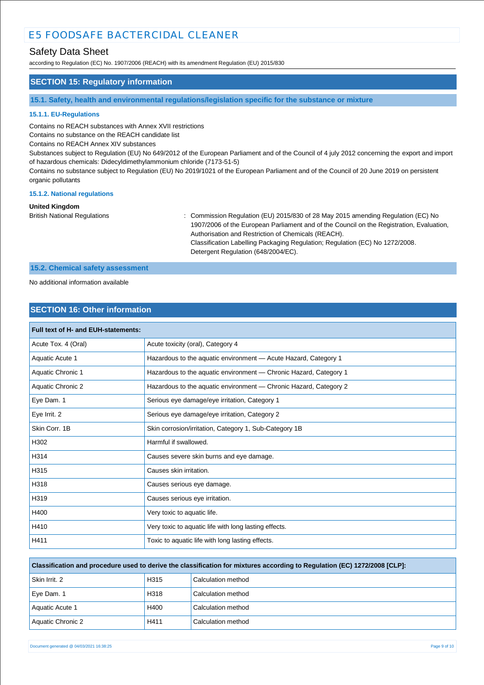## Safety Data Sheet

according to Regulation (EC) No. 1907/2006 (REACH) with its amendment Regulation (EU) 2015/830

### **SECTION 15: Regulatory information**

**15.1. Safety, health and environmental regulations/legislation specific for the substance or mixture**

### **15.1.1. EU-Regulations**

Contains no REACH substances with Annex XVII restrictions

Contains no substance on the REACH candidate list

Contains no REACH Annex XIV substances

Substances subject to Regulation (EU) No 649/2012 of the European Parliament and of the Council of 4 july 2012 concerning the export and import of hazardous chemicals: Didecyldimethylammonium chloride (7173-51-5)

Contains no substance subject to Regulation (EU) No 2019/1021 of the European Parliament and of the Council of 20 June 2019 on persistent organic pollutants

#### **15.1.2. National regulations**

#### **United Kingdom**

British National Regulations : Commission Regulation (EU) 2015/830 of 28 May 2015 amending Regulation (EC) No 1907/2006 of the European Parliament and of the Council on the Registration, Evaluation, Authorisation and Restriction of Chemicals (REACH). Classification Labelling Packaging Regulation; Regulation (EC) No 1272/2008. Detergent Regulation (648/2004/EC).

#### **15.2. Chemical safety assessment**

No additional information available

### **SECTION 16: Other information**

| Full text of H- and EUH-statements: |                                                                   |  |
|-------------------------------------|-------------------------------------------------------------------|--|
| Acute Tox. 4 (Oral)                 | Acute toxicity (oral), Category 4                                 |  |
| Aquatic Acute 1                     | Hazardous to the aquatic environment - Acute Hazard, Category 1   |  |
| Aquatic Chronic 1                   | Hazardous to the aquatic environment - Chronic Hazard, Category 1 |  |
| Aquatic Chronic 2                   | Hazardous to the aquatic environment - Chronic Hazard, Category 2 |  |
| Eye Dam. 1                          | Serious eye damage/eye irritation, Category 1                     |  |
| Eye Irrit. 2                        | Serious eye damage/eye irritation, Category 2                     |  |
| Skin Corr, 1B                       | Skin corrosion/irritation, Category 1, Sub-Category 1B            |  |
| H302                                | Harmful if swallowed.                                             |  |
| H314                                | Causes severe skin burns and eye damage.                          |  |
| H315                                | Causes skin irritation.                                           |  |
| H318                                | Causes serious eye damage.                                        |  |
| H319                                | Causes serious eye irritation.                                    |  |
| H400                                | Very toxic to aquatic life.                                       |  |
| H410                                | Very toxic to aquatic life with long lasting effects.             |  |
| H411                                | Toxic to aquatic life with long lasting effects.                  |  |

**Classification and procedure used to derive the classification for mixtures according to Regulation (EC) 1272/2008 [CLP]:** Skin Irrit. 2 **H315** Calculation method Eye Dam. 1 **Exercise Exercise Service Calculation method** Review Research Review Research Review Review Review R Aquatic Acute 1 March 200 H400 Calculation method Aquatic Chronic 2 H411 Calculation method